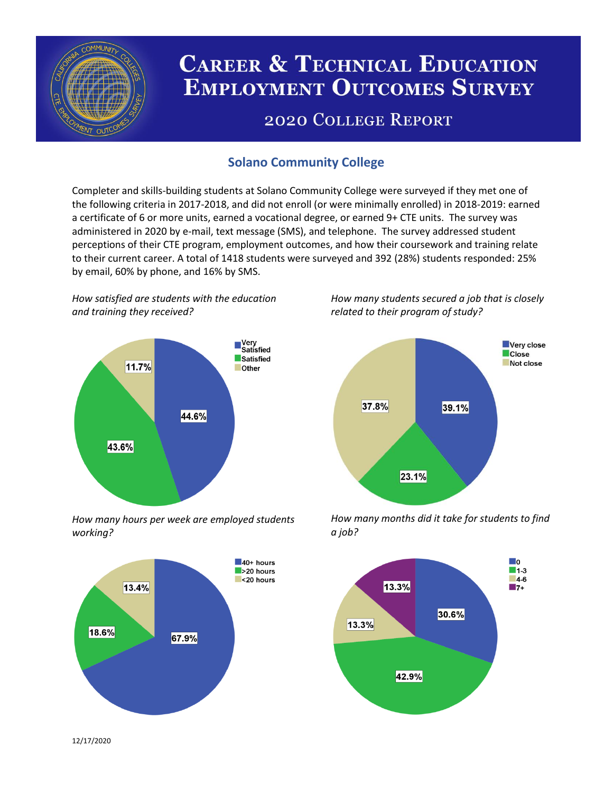

# **CAREER & TECHNICAL EDUCATION EMPLOYMENT OUTCOMES SURVEY**

## **2020 COLLEGE REPORT**

## **Solano Community College**

Completer and skills-building students at Solano Community College were surveyed if they met one of the following criteria in 2017-2018, and did not enroll (or were minimally enrolled) in 2018-2019: earned a certificate of 6 or more units, earned a vocational degree, or earned 9+ CTE units. The survey was administered in 2020 by e-mail, text message (SMS), and telephone. The survey addressed student perceptions of their CTE program, employment outcomes, and how their coursework and training relate to their current career. A total of 1418 students were surveyed and 392 (28%) students responded: 25% by email, 60% by phone, and 16% by SMS.

*How satisfied are students with the education and training they received?*



*How many hours per week are employed students working?*



*How many students secured a job that is closely related to their program of study?*



*How many months did it take for students to find a job?*



12/17/2020